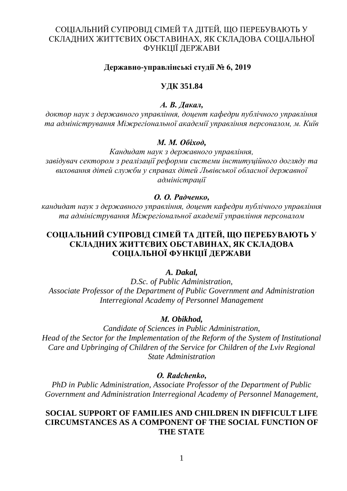# СОЦІАЛЬНИЙ СУПРОВІД СІМЕЙ ТА ДІТЕЙ, ЩО ПЕРЕБУВАЮТЬ У СКЛАДНИХ ЖИТТЄВИХ ОБСТАВИНАХ, ЯК СКЛАДОВА СОЦІАЛЬНОЇ ФУНКЦІЇ ДЕРЖАВИ

## **Державно-управлінські студії № 6, 2019**

### **УДК 351.84**

### *А. В. Дакал,*

*доктор наук з державного управління, доцент кафедри публічного управління та адміністрування Міжрегіональної академії управління персоналом, м. Київ*

### *М. М. Обіход,*

*Кандидат наук з державного управління, завідувач сектором з реалізації реформи системи інституційного догляду та виховання дітей служби у справах дітей Львівської обласної державної адміністрації*

### *О. О. Радченко,*

*кандидат наук з державного управління, доцент кафедри публічного управління та адміністрування Міжрегіональної академії управління персоналом*

# **СОЦІАЛЬНИЙ СУПРОВІД СІМЕЙ ТА ДІТЕЙ, ЩО ПЕРЕБУВАЮТЬ У СКЛАДНИХ ЖИТТЄВИХ ОБСТАВИНАХ, ЯК СКЛАДОВА СОЦІАЛЬНОЇ ФУНКЦІЇ ДЕРЖАВИ**

### *A. Dakal,*

*D.Sc. of Public Administration, Associate Professor of the Department of Public Government and Administration Interregional Academy of Personnel Management*

#### *М. Obikhod,*

*Candidate of Sciences in Public Administration, Head of the Sector for the Implementation of the Reform of the System of Institutional Care and Upbringing of Children of the Service for Children of the Lviv Regional State Administration*

#### *О. Radchenko,*

*PhD in Public Administration, Associate Professor of the Department of Public Government and Administration Interregional Academy of Personnel Management,* 

## **SOCIAL SUPPORT OF FAMILIES AND CHILDREN IN DIFFICULT LIFE CIRCUMSTANCES AS A COMPONENT OF THE SOCIAL FUNCTION OF THE STATE**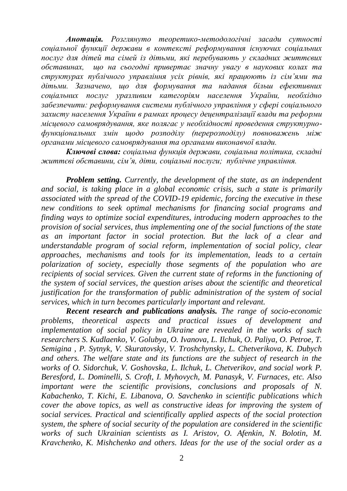*Анотація. Розглянуто теоретико-методологічні засади сутності соціальної функції держави в контексті реформування існуючих соціальних послуг для дітей та сімей із дітьми, які перебувають у складних життєвих обставинах, що на сьогодні привертає значну увагу в наукових колах та структурах публічного управління усіх рівнів, які працюють із сім'ями та дітьми. Зазначено, що для формування та надання більш ефективних соціальних послуг уразливим категоріям населення України, необхідно забезпечити: реформування системи публічного управління у сфері соціального захисту населення України в рамках процесу децентралізації влади та реформи місцевого самоврядування, яке полягає у необхідності проведення структурнофункціональних змін щодо розподілу (перерозподілу) повноважень між органами місцевого самоврядування та органами виконавчої влади.*

*Ключові слова: соціальна функція держави, соціальна політика, складні життєві обставини, сім'я, діти, соціальні послуги; публічне управління.*

*Problem setting. Currently, the development of the state, as an independent and social, is taking place in a global economic crisis, such a state is primarily associated with the spread of the COVID-19 epidemic, forcing the executive in these new conditions to seek optimal mechanisms for financing social programs and finding ways to optimize social expenditures, introducing modern approaches to the provision of social services, thus implementing one of the social functions of the state as an important factor in social protection. But the lack of a clear and understandable program of social reform, implementation of social policy, clear approaches, mechanisms and tools for its implementation, leads to a certain polarization of society, especially those segments of the population who are recipients of social services. Given the current state of reforms in the functioning of the system of social services, the question arises about the scientific and theoretical justification for the transformation of public administration of the system of social services, which in turn becomes particularly important and relevant.*

*Recent research and publications analysis. The range of socio-economic problems, theoretical aspects and practical issues of development and implementation of social policy in Ukraine are revealed in the works of such researchers S. Kudlaenko, V. Golubya, O. Ivanova, L. Ilchuk, O. Paliya, O. Petroe, T. Semigina , P. Sytnyk, V. Skuratovsky, V. Troshchynsky, L. Chetverikova, K. Dubych and others. The welfare state and its functions are the subject of research in the works of O. Sidorchuk, V. Goshovska, L. Ilchuk, L. Chetverikov, and social work P. Beresford, L. Dominelli, S. Croft, I. Myhovych, M. Panasyk, V. Furnaces, etc. Also important were the scientific provisions, conclusions and proposals of N. Kabachenko, T. Kichi, E. Libanova, O. Savchenko in scientific publications which cover the above topics, as well as constructive ideas for improving the system of social services. Practical and scientifically applied aspects of the social protection system, the sphere of social security of the population are considered in the scientific works of such Ukrainian scientists as I. Aristov, O. Afenkin, N. Bolotin, M. Kravchenko, K. Mishchenko and others. Ideas for the use of the social order as a*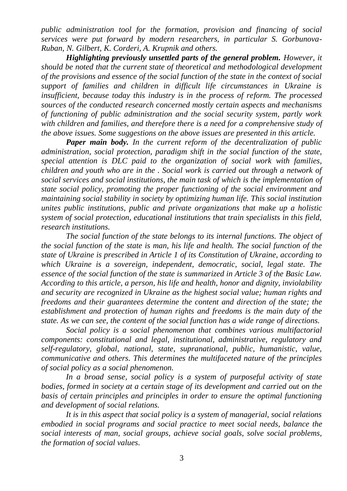*public administration tool for the formation, provision and financing of social services were put forward by modern researchers, in particular S. Gorbunova-Ruban, N. Gilbert, K. Corderi, A. Krupnik and others.*

*Highlighting previously unsettled parts of the general problem. However, it should be noted that the current state of theoretical and methodological development of the provisions and essence of the social function of the state in the context of social support of families and children in difficult life circumstances in Ukraine is insufficient, because today this industry is in the process of reform. The processed sources of the conducted research concerned mostly certain aspects and mechanisms of functioning of public administration and the social security system, partly work with children and families, and therefore there is a need for a comprehensive study of the above issues. Some suggestions on the above issues are presented in this article.*

*Paper main body. In the current reform of the decentralization of public administration, social protection, paradigm shift in the social function of the state, special attention is DLC paid to the organization of social work with families, children and youth who are in the . Social work is carried out through a network of social services and social institutions, the main task of which is the implementation of state social policy, promoting the proper functioning of the social environment and maintaining social stability in society by optimizing human life. This social institution unites public institutions, public and private organizations that make up a holistic system of social protection, educational institutions that train specialists in this field, research institutions.*

*The social function of the state belongs to its internal functions. The object of the social function of the state is man, his life and health. The social function of the state of Ukraine is prescribed in Article 1 of its Constitution of Ukraine, according to which Ukraine is a sovereign, independent, democratic, social, legal state. The essence of the social function of the state is summarized in Article 3 of the Basic Law. According to this article, a person, his life and health, honor and dignity, inviolability and security are recognized in Ukraine as the highest social value; human rights and freedoms and their guarantees determine the content and direction of the state; the establishment and protection of human rights and freedoms is the main duty of the state. As we can see, the content of the social function has a wide range of directions.*

*Social policy is a social phenomenon that combines various multifactorial components: constitutional and legal, institutional, administrative, regulatory and self-regulatory, global, national, state, supranational, public, humanistic, value, communicative and others. This determines the multifaceted nature of the principles of social policy as a social phenomenon.*

*In a broad sense, social policy is a system of purposeful activity of state bodies, formed in society at a certain stage of its development and carried out on the basis of certain principles and principles in order to ensure the optimal functioning and development of social relations.* 

*It is in this aspect that social policy is a system of managerial, social relations embodied in social programs and social practice to meet social needs, balance the social interests of man, social groups, achieve social goals, solve social problems, the formation of social values.*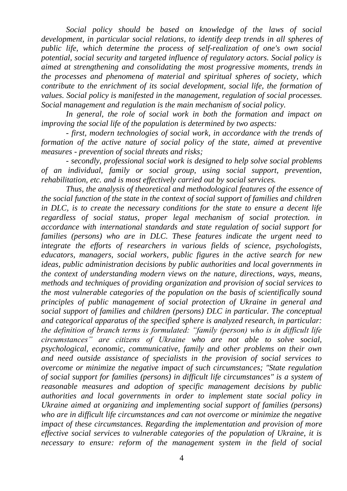*Social policy should be based on knowledge of the laws of social development, in particular social relations, to identify deep trends in all spheres of public life, which determine the process of self-realization of one's own social potential, social security and targeted influence of regulatory actors. Social policy is aimed at strengthening and consolidating the most progressive moments, trends in the processes and phenomena of material and spiritual spheres of society, which contribute to the enrichment of its social development, social life, the formation of values. Social policy is manifested in the management, regulation of social processes. Social management and regulation is the main mechanism of social policy.*

*In general, the role of social work in both the formation and impact on improving the social life of the population is determined by two aspects:*

*- first, modern technologies of social work, in accordance with the trends of formation of the active nature of social policy of the state, aimed at preventive measures - prevention of social threats and risks;*

*- secondly, professional social work is designed to help solve social problems of an individual, family or social group, using social support, prevention, rehabilitation, etc. and is most effectively carried out by social services.*

*Thus, the analysis of theoretical and methodological features of the essence of the social function of the state in the context of social support of families and children in DLC, is to create the necessary conditions for the state to ensure a decent life regardless of social status, proper legal mechanism of social protection. in accordance with international standards and state regulation of social support for families (persons) who are in DLC. These features indicate the urgent need to integrate the efforts of researchers in various fields of science, psychologists, educators, managers, social workers, public figures in the active search for new ideas, public administration decisions by public authorities and local governments in the context of understanding modern views on the nature, directions, ways, means, methods and techniques of providing organization and provision of social services to the most vulnerable categories of the population on the basis of scientifically sound principles of public management of social protection of Ukraine in general and social support of families and children (persons) DLC in particular. The conceptual and categorical apparatus of the specified sphere is analyzed research, in particular: the definition of branch terms is formulated: "family (person) who is in difficult life circumstances" are citizens of Ukraine who are not able to solve social, psychological, economic, communicative, family and other problems on their own and need outside assistance of specialists in the provision of social services to overcome or minimize the negative impact of such circumstances; "State regulation of social support for families (persons) in difficult life circumstances" is a system of reasonable measures and adoption of specific management decisions by public authorities and local governments in order to implement state social policy in Ukraine aimed at organizing and implementing social support of families (persons) who are in difficult life circumstances and can not overcome or minimize the negative impact of these circumstances. Regarding the implementation and provision of more effective social services to vulnerable categories of the population of Ukraine, it is necessary to ensure: reform of the management system in the field of social*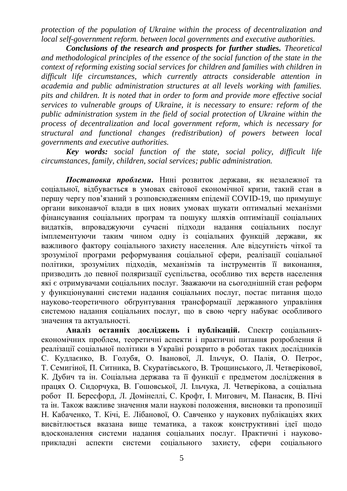*protection of the population of Ukraine within the process of decentralization and local self-government reform. between local governments and executive authorities.*

*Conclusions of the research and prospects for further studies. Theoretical and methodological principles of the essence of the social function of the state in the context of reforming existing social services for children and families with children in difficult life circumstances, which currently attracts considerable attention in academia and public administration structures at all levels working with families. pits and children. It is noted that in order to form and provide more effective social services to vulnerable groups of Ukraine, it is necessary to ensure: reform of the public administration system in the field of social protection of Ukraine within the process of decentralization and local government reform, which is necessary for structural and functional changes (redistribution) of powers between local governments and executive authorities.*

*Key words: social function of the state, social policy, difficult life circumstances, family, children, social services; public administration.*

*Постановка проблеми***.** Нині розвиток держави, як незалежної та соціальної, відбувається в умовах світової економічної кризи, такий стан в першу чергу пов'язаний з розповсюдженням епідемії COVID-19, що примушує органи виконавчої влади в цих нових умовах шукати оптимальні механізми фінансування соціальних програм та пошуку шляхів оптимізації соціальних видатків, впроваджуючи сучасні підходи надання соціальних послуг імплементуючи таким чином одну із соціальних функцій держави, як важливого фактору соціального захисту населення. Але відсутність чіткої та зрозумілої програми реформування соціальної сфери, реалізації соціальної політики, зрозумілих підходів, механізмів та інструментів її виконання, призводить до певної поляризації суспільства, особливо тих верств населення які є отримувачами соціальних послуг. Зважаючи на сьогоднішній стан реформ у функціонуванні системи надання соціальних послуг, постає питання щодо науково-теоретичного обґрунтування трансформації державного управління системою надання соціальних послуг, що в свою чергу набуває особливого значення та актуальності.

**Аналіз останніх досліджень і публікацій.** Спектр соціальнихекономічних проблем, теоретичні аспекти і практичні питання розроблення й реалізації соціальної політики в Україні розкрито в роботах таких дослідників С. Кудлаєнко, В. Голубя, О. Іванової, Л. Ільчук, О. Палія, О. Петроє, Т. Семигіної, П. Ситника, В. Скуратівського, В. Трощинського, Л. Четверікової, К. Дубич та ін. Соціальна держава та її функції є предметом дослідження в працях О. Сидорчука, В. Гошовської, Л. Ільчука, Л. Четверікова, а соціальна робот П. Бересфорд, Л. Домінеллі, С. Крофт, І. Мигович, М. Панасик, В. Пічі та ін. Також важливе значення мали наукові положення, висновки та пропозиції Н. Кабаченко, Т. Кічі, Е. Лібанової, О. Савченко у наукових публікаціях яких висвітлюється вказана вище тематика, а також конструктивні ідеї щодо вдосконалення системи надання соціальних послуг. Практичні і науковоприкладні аспекти системи соціального захисту, сфери соціального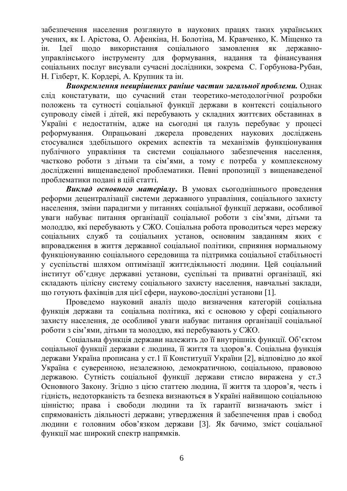забезпечення населення розглянуто в наукових працях таких українських учених, як І. Арістова, О. Афенкіна, Н. Болотіна, М. Кравченко, К. Міщенко та ін. Ідеї щодо використання соціального замовлення як державноуправлінського інструменту для формування, надання та фінансування соціальних послуг висували сучасні дослідники, зокрема С. Горбунова-Рубан, Н. Гілберт, К. Кордері, А. Крупник та ін.

*Виокремлення невирішених раніше частин загальної проблеми.* Однак слід констатувати, що сучасний стан теоретико-методологічної розробки положень та сутності соціальної функції держави в контексті соціального супроводу сімей і дітей, які перебувають у складних життєвих обставинах в Україні є недостатнім, адже на сьогодні ця галузь перебуває у процесі реформування. Опрацьовані джерела проведених наукових досліджень стосувалися здебільшого окремих аспектів та механізмів функціонування публічного управління та системи соціального забезпечення населення, частково роботи з дітьми та сім'ями, а тому є потреба у комплексному дослідженні вищенаведеної проблематики. Певні пропозиції з вищенаведеної проблематики подані в цій статті.

*Виклад основного матеріалу***.** В умовах сьогоднішнього проведення реформи децентралізації системи державного управління, соціального захисту населення, зміни парадигми у питаннях соціальної функції держави, особливої уваги набуває питання організації соціальної роботи з сім'ями, дітьми та молоддю, які перебувають у СЖО. Соціальна робота проводиться через мережу соціальних служб та соціальних установ, основним завданням яких є впровадження в життя державної соціальної політики, сприяння нормальному функціонуванню соціального середовища та підтримка соціальної стабільності у суспільстві шляхом оптимізації життєдіяльності людини. Цей соціальний інститут об'єднує державні установи, суспільні та приватні організації, які складають цілісну систему соціального захисту населення, навчальні заклади, що готують фахівців для цієї сфери, науково-дослідні установи [1].

Проведемо науковий аналіз щодо визначення категорій соціальна функція держави та соціальна політика, які є основою у сфері соціального захисту населення, де особливої уваги набуває питання організації соціальної роботи з сім'ями, дітьми та молоддю, які перебувають у СЖО.

Соціальна функція держави належить до її внутрішніх функції. Об'єктом соціальної функції держави є людина, її життя та здоров'я. Соціальна функція держави Україна прописана у ст.1 її Конституції України [2], відповідно до якої Україна є суверенною, незалежною, демократичною, соціальною, правовою державою. Сутність соціальної функції держави стисло виражена у ст.3 Основного Закону. Згідно з цією статтею людина, її життя та здоров'я, честь і гідність, недоторканість та безпека визнаються в Україні найвищою соціальною цінністю; права і свободи людини та їх гарантії визначають зміст і спрямованість діяльності держави; утвердження й забезпечення прав і свобод людини є головним обов'язком держави [3]. Як бачимо, зміст соціальної функції має широкий спектр напрямків.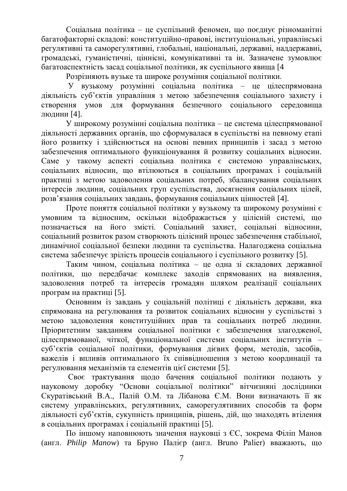Соціальна політика – це суспільний феномен, що поєднує різноманітні багатофакторні складові: конституційно-правові, інституціональні, управлінські регулятивні та саморегулятивні, глобальні, національні, державні, наддержавні, громадські, гуманістичні, ціннісні, комунікативні та ін. Зазначене зумовлює багатоаспектність засад соціальної політики, як суспільного явища [4

Розрізняють вузьке та широке розуміння соціальної політики.

У вузькому розумінні соціальна політика – це цілеспрямована діяльність суб'єктів управління з метою забезпечення соціального захисту і створення умов для формування безпечного соціального середовища людини [4].

У широкому розумінні соціальна політика – це система цілеспрямованої діяльності державних органів, що сформувалася в суспільстві на певному етапі його розвитку і здійснюється на основі певних принципів і засад з метою забезпечення оптимального функціонування й розвитку соціальних відносин. Саме у такому аспекті соціальна політика є системою управлінських, соціальних відносин, що втілюються в соціальних програмах і соціальній практиці з метою задоволення соціальних потреб, збалансування соціальних інтересів людини, соціальних груп суспільства, досягнення соціальних цілей, розв'язання соціальних завдань, формування соціальних цінностей [4].

Проте поняття соціальної політики у вузькому та широкому розумінні є умовним та відносним, оскільки відображається у цілісній системі, що позначається на його змісті. Соціальний захист, соціальні відносини, соціальний розвиток разом створюють цілісний процес забезпечення стабільної, динамічної соціальної безпеки людини та суспільства. Налагоджена соціальна система забезпечує зрілість процесів соціального і суспільного розвитку [5].

Таким чином, соціальна політика – це одна зі складових державної політики, що передбачає комплекс заходів спрямованих на виявлення, задоволення потреб та інтересів громадян шляхом реалізації соціальних програм на практиці [5].

Основним із завдань у соціальній політиці є діяльність держави, яка спрямована на регулювання та розвиток соціальних відносин у суспільстві з метою задоволення конституційних прав та соціальних потреб людини. Пріоритетним завданням соціальної політики є забезпечення злагодженої, цілеспрямованої, чіткої, функціональної системи соціальних інститутів – суб'єктів соціальної політики, формування дієвих форм, методів, засобів, важелів і впливів оптимального їх співвідношення з метою координації та регулювання механізмів та елементів цієї системи [5].

Своє трактування щодо бачення соціальної політики подають у науковому доробку "Основи соціальної політики" вітчизняні дослідники Скуратівський В.А., Палій О.М. та Лібанова Є.М. Вони визначають її як систему управлінських, регулятивних, саморегулятивних способів та форм діяльності суб'єктів, сукупність принципів, рішень, дій, що знаходять втілення в соціальних програмах і соціальній практиці [5].

По іншому наповнюють значення науковці з ЄС, зокрема Філіп Манов (англ. *Philip Manow*) та Бруно Палієр (англ. Bruno Palier) вважають, що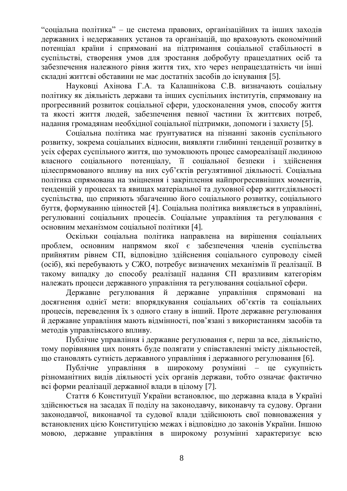"соціальна політика" – це система правових, організаційних та інших заходів державних і недержавних установ та організацій, що враховують економічний потенціал країни і спрямовані на підтримання соціальної стабільності в суспільстві, створення умов для зростання добробуту працездатних осіб та забезпечення належного рівня життя тих, хто через непрацездатність чи інші складні життєві обставини не має достатніх засобів до існування [5].

Науковці Ахінова Г.А. та Калашнікова С.В. визначають соціальну політику як діяльність держави та інших суспільних інститутів, спрямовану на прогресивний розвиток соціальної сфери, удосконалення умов, способу життя та якості життя людей, забезпечення певної частини їх життєвих потреб, надання громадянам необхідної соціальної підтримки, допомоги і захисту [5].

Соціальна політика має ґрунтуватися на пізнанні законів суспільного розвитку, зокрема соціальних відносин, виявляти глибинні тенденції розвитку в усіх сферах суспільного життя, що зумовлюють процес самореалізації людиною власного соціального потенціалу, її соціальної безпеки і здійснення цілеспрямованого впливу на них суб'єктів регулятивної діяльності. Соціальна політика спрямована на зміцнення і закріплення найпрогресивніших моментів, тенденцій у процесах та явищах матеріальної та духовної сфер життєдіяльності суспільства, що сприяють збагаченню його соціального розвитку, соціального буття, формуванню цінностей [4]. Соціальна політика виявляється в управлінні, регулюванні соціальних процесів. Соціальне управління та регулювання є основним механізмом соціальної політики [4].

Оскільки соціальна політика направлена на вирішення соціальних проблем, основним напрямом якої є забезпечення членів суспільства прийнятим рівнем СП, відповідно здійснення соціального супроводу сімей (осіб), які перебувають у СЖО, потребує визначених механізмів її реалізації. В такому випадку до способу реалізації надання СП вразливим категоріям належать процеси державного управління та регулювання соціальної сфери.

Державне регулювання й державне управління спрямовані на досягнення однієї мети: впорядкування соціальних об'єктів та соціальних процесів, переведення їх з одного стану в інший. Проте державне регулювання й державне управління мають відмінності, пов'язані з використанням засобів та методів управлінського впливу.

Публічне управління і державне регулювання є, перш за все, діяльністю, тому порівняння цих понять буде полягати у співставленні змісту діяльностей, що становлять сутність державного управління і державного регулювання [6].

Публічне управління в широкому розумінні – це сукупність різноманітних видів діяльності усіх органів держави, тобто означає фактично всі форми реалізації державної влади в цілому [7].

Стаття 6 Конституції України встановлює, що державна влада в Україні здійснюється на засадах її поділу на законодавчу, виконавчу та судову. Органи законодавчої, виконавчої та судової влади здійснюють свої повноваження у встановлених цією Конституцією межах і відповідно до законів України. Іншою мовою, державне управління в широкому розумінні характеризує всю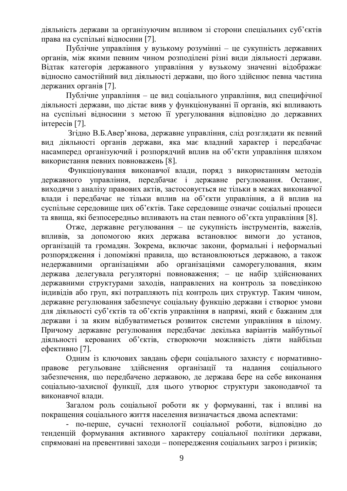діяльність держави за організуючим впливом зі сторони спеціальних суб'єктів права на суспільні відносини [7].

Публічне управління у вузькому розумінні – це сукупність державних органів, між якими певним чином розподілені різні види діяльності держави. Відтак категорія державного управління у вузькому значенні відображає відносно самостійний вид діяльності держави, що його здійснює певна частина держаних органів [7].

Публічне управління – це вид соціального управління, вид специфічної діяльності держави, що дістає вияв у функціонуванні її органів, які впливають на суспільні відносини з метою її урегулювання відповідно до державних інтересів [7].

Згідно В.Б.Авер'янова, державне управління, слід розглядати як певний вид діяльності органів держави, яка має владний характер і передбачає насамперед організуючий і розпорядчий вплив на об'єкти управління шляхом використання певних повноважень [8].

Функціонування виконавчої влади, поряд з використанням методів державного управління, передбачає і державне регулювання. Останнє, виходячи з аналізу правових актів, застосовується не тільки в межах виконавчої влади і передбачає не тільки вплив на об'єкти управління, а й вплив на суспільне середовище цих об'єктів. Таке середовище означає соціальні процеси та явища, які безпосередньо впливають на стан певного об'єкта управління [8].

Отже, державне регулювання – це сукупність інструментів, важелів, впливів, за допомогою яких держава встановлює вимоги до установ, організацій та громадян. Зокрема, включає закони, формальні і неформальні розпорядження і допоміжні правила, що встановлюються державою, а також недержавними організаціями або організаціями саморегулювання, яким держава делегувала регуляторні повноваження; – це набір здійснюваних державними структурами заходів, направлених на контроль за поведінкою індивідів або груп, які потрапляють під контроль цих структур. Таким чином, державне регулювання забезпечує соціальну функцію держави і створює умови для діяльності суб'єктів та об'єктів управління в напрямі, який є бажаним для держави і за яким відбуватиметься розвиток системи управління в цілому. Причому державне регулювання передбачає декілька варіантів майбутньої діяльності керованих об'єктів, створюючи можливість діяти найбільш ефективно [7].

Одним із ключових завдань сфери соціального захисту є нормативноправове регульоване здійснення організації та надання соціального забезпечення, що передбачено державою, де держава бере на себе виконання соціально-захисної функції, для цього утворює структури законодавчої та виконавчої влади.

Загалом роль соціальної роботи як у формуванні, так і впливі на покращення соціального життя населення визначається двома аспектами:

- по-перше, сучасні технології соціальної роботи, відповідно до тенденцій формування активного характеру соціальної політики держави, спрямовані на превентивні заходи – попередження соціальних загроз і ризиків;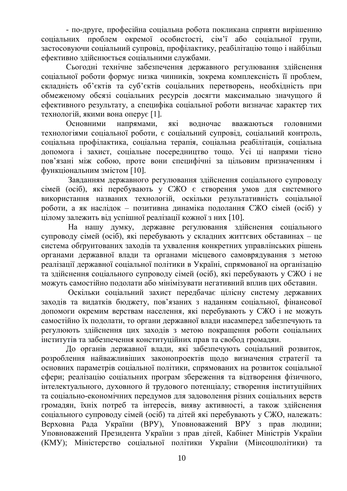- по-друге, професійна соціальна робота покликана сприяти вирішенню соціальних проблем окремої особистості, сім'ї або соціальної групи, застосовуючи соціальний супровід, профілактику, реабілітацію тощо і найбільш ефективно здійснюється соціальними службами.

Сьогодні технічне забезпечення державного регулювання здійснення соціальної роботи формує низка чинників, зокрема комплексність її проблем, складність об'єктів та суб'єктів соціальних перетворень, необхідність при обмеженому обсязі соціальних ресурсів досягти максимально значущого й ефективного результату, а специфіка соціальної роботи визначає характер тих технологій, якими вона оперує [1].

Основними напрямами, які водночас вважаються головними технологіями соціальної роботи, є соціальний супровід, соціальний контроль, соціальна профілактика, соціальна терапія, соціальна реабілітація, соціальна допомога і захист, соціальне посередництво тощо. Усі ці напрями тісно пов'язані між собою, проте вони специфічні за цільовим призначенням і функціональним змістом [10].

Завданням державного регулювання здійснення соціального супроводу сімей (осіб), які перебувають у СЖО є створення умов для системного використання названих технологій, оскільки результативність соціальної роботи, а як наслідок – позитивна динаміка подолання СЖО сімей (осіб) у цілому залежить від успішної реалізації кожної з них [10].

На нашу думку, державне регулювання здійснення соціального супроводу сімей (осіб), які перебувають у складних життєвих обставинах – це система обґрунтованих заходів та ухвалення конкретних управлінських рішень органами державної влади та органами місцевого самоврядування з метою реалізації державної соціальної політики в Україні, спрямованої на організацію та здійснення соціального супроводу сімей (осіб), які перебувають у СЖО і не можуть самостійно подолати або мінімізувати негативний вплив цих обставин.

Оскільки соціальний захист передбачає цілісну систему державних заходів та видатків бюджету, пов'язаних з наданням соціальної, фінансової допомоги окремим верствам населення, які перебувають у СЖО і не можуть самостійно їх подолати, то органи державної влади насамперед забезпечують та регулюють здійснення цих заходів з метою покращення роботи соціальних інститутів та забезпечення конституційних прав та свобод громадян.

До органів державної влади, які забезпечують соціальний розвиток, розроблення найважливіших законопроектів щодо визначення стратегії та основних параметрів соціальної політики, спрямованих на розвиток соціальної сфери; реалізацію соціальних програм збереження та відтворення фізичного, інтелектуального, духовного й трудового потенціалу; створення інституційних та соціально-економічних передумов для задоволення різних соціальних верств громадян, їхніх потреб та інтересів, вияву активності, а також здійснення соціального супроводу сімей (осіб) та дітей які перебувають у СЖО, належать: Верховна Рада України (ВРУ), Уповноважений ВРУ з прав людини; Уповноважений Президента України з прав дітей, Кабінет Міністрів України (КМУ); Міністерство соціальної політики України (Мінсоцполітики) та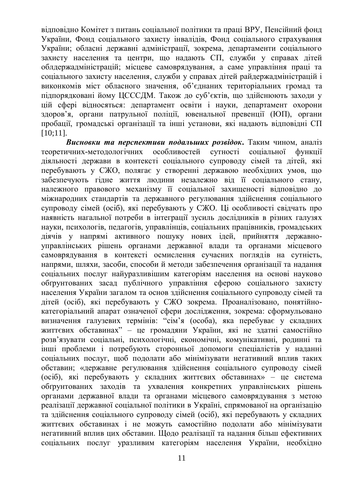відповідно Комітет з питань соціальної політики та праці ВРУ, Пенсійний фонд України, Фонд соціального захисту інвалідів, Фонд соціального страхування України; обласні державні адміністрації, зокрема, департаменти соціального захисту населення та центри, що надають СП, служби у справах дітей облдержадміністрацій; місцеве самоврядування, а саме управління праці та соціального захисту населення, служби у справах дітей райдержадміністрацій і виконкомів міст обласного значення, об'єднаних територіальних громад та підпорядковані йому ЦСССДМ. Також до суб'єктів, що здійснюють заходи у цій сфері відносяться: департамент освіти і науки, департамент охорони здоров'я, органи патрульної поліції, ювенальної превенції (ЮП), органи пробації, громадські організації та інші установи, які надають відповідні СП [10;11].

*Висновки та перспективи подальших розвідок***.** Таким чином, аналіз теоретичних-методологічних особливостей сутності соціальної функції діяльності держави в контексті соціального супроводу сімей та дітей, які перебувають у СЖО, полягає у створенні державою необхідних умов, що забезпечують гідне життя людини незалежно від її соціального стану, належного правового механізму її соціальної захищеності відповідно до міжнародних стандартів та державного регулювання здійснення соціального супроводу сімей (осіб), які перебувають у СЖО. Ці особливості свідчать про наявність нагальної потреби в інтеграції зусиль дослідників в різних галузях науки, психологів, педагогів, управлінців, соціальних працівників, громадських діячів у напрямі активного пошуку нових ідей, прийняття державноуправлінських рішень органами державної влади та органами місцевого самоврядування в контексті осмислення сучасних поглядів на сутність, напрями, шляхи, засоби, способи й методи забезпечення організації та надання соціальних послуг найуразливішим категоріям населення на основі науково обґрунтованих засад публічного управління сферою соціального захисту населення України загалом та основ здійснення соціального супроводу сімей та дітей (осіб), які перебувають у СЖО зокрема. Проаналізовано, понятійнокатегоріальний апарат означеної сфери дослідження, зокрема: сформульовано визначення галузевих термінів: "сім'я (особа), яка перебуває у складних життєвих обставинах" – це громадяни України, які не здатні самостійно розв'язувати соціальні, психологічні, економічні, комунікативні, родинні та інші проблеми і потребують сторонньої допомоги спеціалістів у наданні соціальних послуг, щоб подолати або мінімізувати негативний вплив таких обставин; «державне регулювання здійснення соціального супроводу сімей (осіб), які перебувають у складних життєвих обставинах» – це система обґрунтованих заходів та ухвалення конкретних управлінських рішень органами державної влади та органами місцевого самоврядування з метою реалізації державної соціальної політики в Україні, спрямованої на організацію та здійснення соціального супроводу сімей (осіб), які перебувають у складних життєвих обставинах і не можуть самостійно подолати або мінімізувати негативний вплив цих обставин. Щодо реалізації та надання більш ефективних соціальних послуг уразливим категоріям населення України, необхідно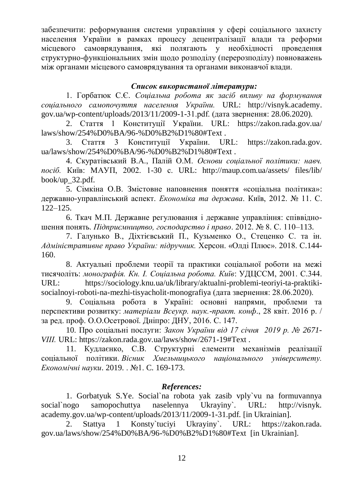забезпечити: реформування системи управління у сфері соціального захисту населення України в рамках процесу децентралізації влади та реформи місцевого самоврядування, які полягають у необхідності проведення структурно-функціональних змін щодо розподілу (перерозподілу) повноважень між органами місцевого самоврядування та органами виконавчої влади.

## *Список використаної літератури:*

1. Горбатюк С.Є. *Соціальна робота як засіб впливу на формування соціального самопочуття населення України.* URL: http://visnyk.academy. gov.ua/wp-content/uploads/2013/11/2009-1-31.pdf. (дата звернення: 28.06.2020).

2. Стаття 1 Конституції України. URL: [https://zakon.rada.gov.ua/](https://zakon.rada.gov.ua/laws/show/254%D0%BA/96-%D0%B2%D1%80#Text) [laws/show/254%D0%BA/96-%D0%B2%D1%80#Text](https://zakon.rada.gov.ua/laws/show/254%D0%BA/96-%D0%B2%D1%80#Text) .

3. Стаття 3 Конституції України. URL: [https://zakon.rada.gov.](https://zakon.rada.gov.ua/laws/show/254%D0%BA/96-%D0%B2%D1%80#Text) [ua/laws/show/254%D0%BA/96-%D0%B2%D1%80#Text](https://zakon.rada.gov.ua/laws/show/254%D0%BA/96-%D0%B2%D1%80#Text) .

4. Скуратівський В.А., Палій О.М. *Основи соціальної політики: навч. посіб.* Київ: МАУП, 2002. 1-30 с. URL: [http://maup.com.ua/assets/](http://maup.com.ua/assets/files/lib/book/up_32.pdf) files/lib/ [book/up\\_32.pdf.](http://maup.com.ua/assets/files/lib/book/up_32.pdf)

5. Сімкіна О.В. Змістовне наповнення поняття «соціальна політика»: державно-управлінський аспект. *Економіка та держава*. Київ, 2012. № 11. С. 122–125.

6. Ткач М.П. Державне регулювання і державне управління: співвідношення понять. *Підприємництво, господарство і право*. 2012. № 8. С. 110–113.

7. Галунько В., Діхтієвський П., Кузьменко О., Стеценко С. та ін. *Адміністративне право України: підручник.* Херсон. «Олді Плюс». 2018. С.144- 160.

8. Актуальні проблеми теорії та практики соціальної роботи на межі тисячоліть: *монографія. Кн. І. Соціальна робота. Київ*: УДЦССМ, 2001. С.344. URL: [https://sociology.knu.ua/uk/library/aktualni-problemi-teoriyi-ta-praktiki](https://sociology.knu.ua/uk/library/aktualni-problemi-teoriyi-ta-praktiki-socialnoyi-roboti-na-mezhi-tisyacholit-monografiya)[socialnoyi-roboti-na-mezhi-tisyacholit-monografiya](https://sociology.knu.ua/uk/library/aktualni-problemi-teoriyi-ta-praktiki-socialnoyi-roboti-na-mezhi-tisyacholit-monografiya) (дата звернення: 28.06.2020).

9. Соціальна робота в Україні: основні напрями, проблеми та перспективи розвитку: *матеріали Всеукр. наук.-практ. конф*., 28 квіт. 2016 р. / за ред. проф. О.О.Осетрової. Дніпро: ДНУ, 2016. С. 147.

10. Про соціальні послуги: *Закон України від 17 січня 2019 р. № 2671- VIII.* URL:<https://zakon.rada.gov.ua/laws/show/2671-19#Text>.

11. Кудлаєнко, С.В. Структурні елементи механізмів реалізації соціальної політики. *Вісник Хмельницького національного університету. Економічні науки*. 2019. . №1. C. 169-173.

## *References:*

1. Gorbatyuk S.Ye. Social`na robota yak zasib vply`vu na formuvannya social`nogo samopochuttya naselennya Ukrayiny`. URL: http://visnyk. academy.gov.ua/wp-content/uploads/2013/11/2009-1-31.pdf. [in Ukrainian].

2. Stattya 1 Konsty`tuciyi Ukrayiny`. URL: https://zakon.rada. gov.ua/laws/show/254%D0%BA/96-%D0%B2%D1%80#Text [in Ukrainian].